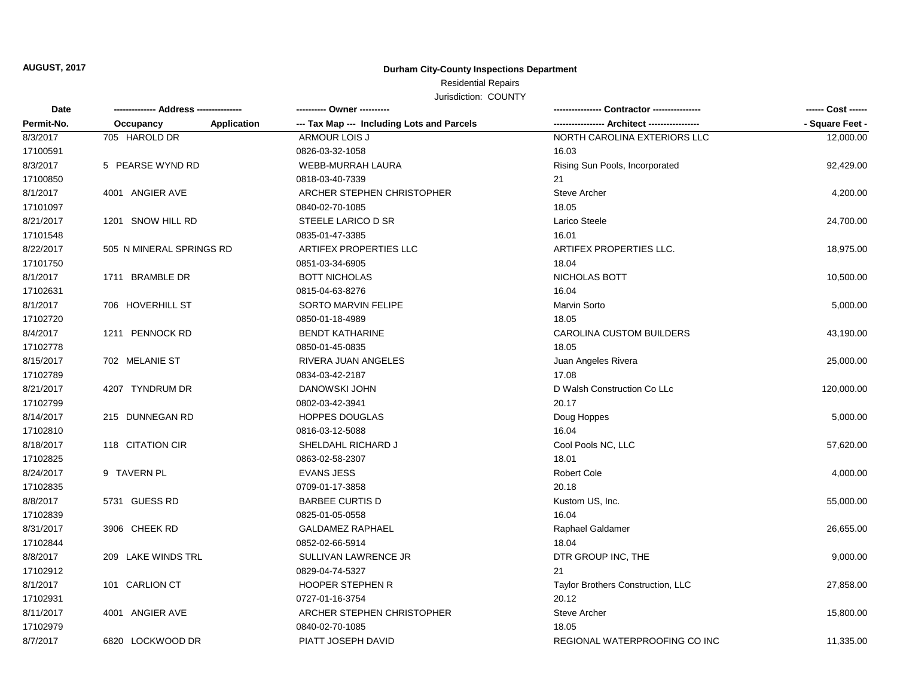**AUGUST, 2017**

### **Durham City-County Inspections Department**

# Residential Repairs

Jurisdiction: COUNTY

| Date<br>Permit-No. |                          |                    | ---------- Owner ----------                |                                   | ------ Cost ------ |
|--------------------|--------------------------|--------------------|--------------------------------------------|-----------------------------------|--------------------|
|                    | Occupancy                | <b>Application</b> | --- Tax Map --- Including Lots and Parcels |                                   | - Square Feet -    |
| 8/3/2017           | 705 HAROLD DR            |                    | <b>ARMOUR LOIS J</b>                       | NORTH CAROLINA EXTERIORS LLC      | 12,000.00          |
| 17100591           |                          |                    | 0826-03-32-1058                            | 16.03                             |                    |
| 8/3/2017           | 5 PEARSE WYND RD         |                    | WEBB-MURRAH LAURA                          | Rising Sun Pools, Incorporated    | 92,429.00          |
| 17100850           |                          |                    | 0818-03-40-7339                            | 21                                |                    |
| 8/1/2017           | 4001 ANGIER AVE          |                    | ARCHER STEPHEN CHRISTOPHER                 | <b>Steve Archer</b>               | 4,200.00           |
| 17101097           |                          |                    | 0840-02-70-1085                            | 18.05                             |                    |
| 8/21/2017          | 1201 SNOW HILL RD        |                    | STEELE LARICO D SR                         | Larico Steele                     | 24,700.00          |
| 17101548           |                          |                    | 0835-01-47-3385                            | 16.01                             |                    |
| 8/22/2017          | 505 N MINERAL SPRINGS RD |                    | ARTIFEX PROPERTIES LLC                     | ARTIFEX PROPERTIES LLC.           | 18,975.00          |
| 17101750           |                          |                    | 0851-03-34-6905                            | 18.04                             |                    |
| 8/1/2017           | 1711 BRAMBLE DR          |                    | <b>BOTT NICHOLAS</b>                       | NICHOLAS BOTT                     | 10,500.00          |
| 17102631           |                          |                    | 0815-04-63-8276                            | 16.04                             |                    |
| 8/1/2017           | 706 HOVERHILL ST         |                    | <b>SORTO MARVIN FELIPE</b>                 | <b>Marvin Sorto</b>               | 5,000.00           |
| 17102720           |                          |                    | 0850-01-18-4989                            | 18.05                             |                    |
| 8/4/2017           | 1211 PENNOCK RD          |                    | <b>BENDT KATHARINE</b>                     | <b>CAROLINA CUSTOM BUILDERS</b>   | 43,190.00          |
| 17102778           |                          |                    | 0850-01-45-0835                            | 18.05                             |                    |
| 8/15/2017          | 702 MELANIE ST           |                    | RIVERA JUAN ANGELES                        | Juan Angeles Rivera               | 25,000.00          |
| 17102789           |                          |                    | 0834-03-42-2187                            | 17.08                             |                    |
| 8/21/2017          | 4207 TYNDRUM DR          |                    | DANOWSKI JOHN                              | D Walsh Construction Co LLc       | 120,000.00         |
| 17102799           |                          |                    | 0802-03-42-3941                            | 20.17                             |                    |
| 8/14/2017          | 215 DUNNEGAN RD          |                    | HOPPES DOUGLAS                             | Doug Hoppes                       | 5,000.00           |
| 17102810           |                          |                    | 0816-03-12-5088                            | 16.04                             |                    |
| 8/18/2017          | 118 CITATION CIR         |                    | SHELDAHL RICHARD J                         | Cool Pools NC, LLC                | 57,620.00          |
| 17102825           |                          |                    | 0863-02-58-2307                            | 18.01                             |                    |
| 8/24/2017          | 9 TAVERN PL              |                    | <b>EVANS JESS</b>                          | Robert Cole                       | 4,000.00           |
| 17102835           |                          |                    | 0709-01-17-3858                            | 20.18                             |                    |
| 8/8/2017           | 5731 GUESS RD            |                    | <b>BARBEE CURTIS D</b>                     | Kustom US, Inc.                   | 55,000.00          |
| 17102839           |                          |                    | 0825-01-05-0558                            | 16.04                             |                    |
| 8/31/2017          | 3906 CHEEK RD            |                    | <b>GALDAMEZ RAPHAEL</b>                    | Raphael Galdamer                  | 26,655.00          |
| 17102844           |                          |                    | 0852-02-66-5914                            | 18.04                             |                    |
| 8/8/2017           | 209 LAKE WINDS TRL       |                    | SULLIVAN LAWRENCE JR                       | DTR GROUP INC, THE                | 9,000.00           |
| 17102912           |                          |                    | 0829-04-74-5327                            | 21                                |                    |
| 8/1/2017           | 101 CARLION CT           |                    | <b>HOOPER STEPHEN R</b>                    | Taylor Brothers Construction, LLC | 27,858.00          |
| 17102931           |                          |                    | 0727-01-16-3754                            | 20.12                             |                    |
| 8/11/2017          | 4001 ANGIER AVE          |                    | ARCHER STEPHEN CHRISTOPHER                 | Steve Archer                      | 15,800.00          |
| 17102979           |                          |                    | 0840-02-70-1085                            | 18.05                             |                    |
| 8/7/2017           | 6820 LOCKWOOD DR         |                    | PIATT JOSEPH DAVID                         | REGIONAL WATERPROOFING CO INC     | 11,335.00          |